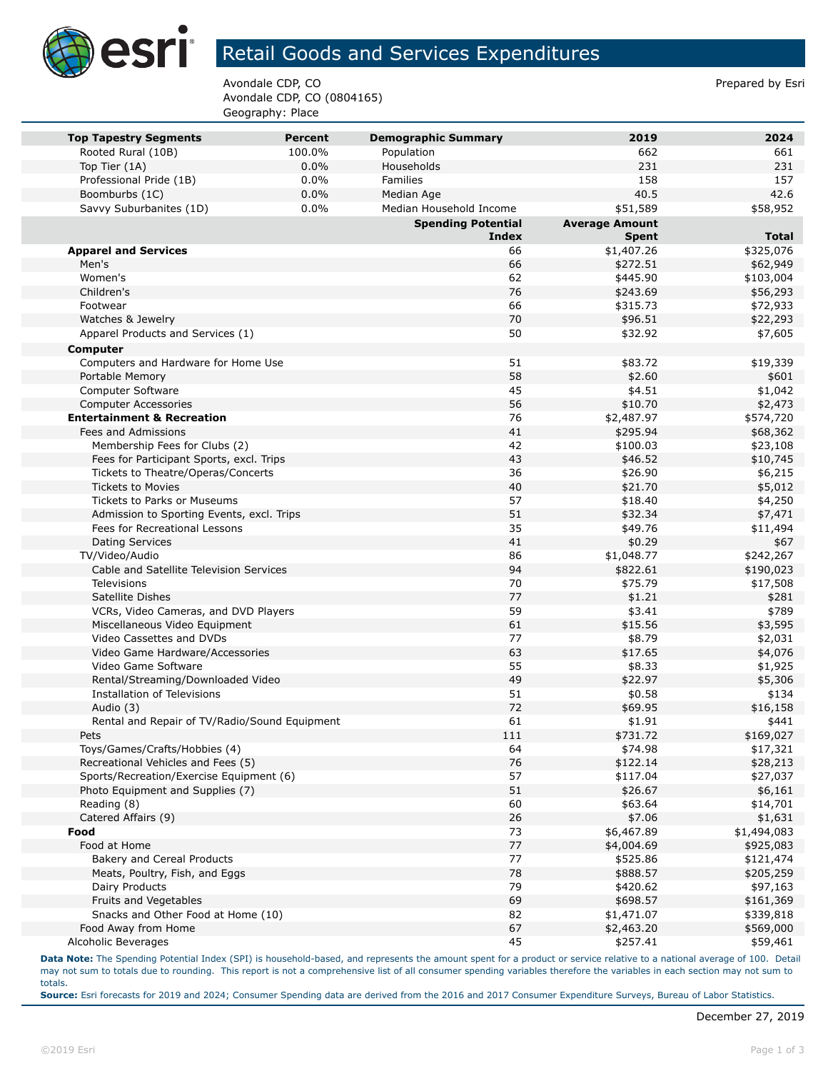

## Retail Goods and Services Expenditures

Avondale CDP, CO **Prepared by Esri** Prepared by Esri Avondale CDP, CO (0804165) Geography: Place

| <b>Top Tapestry Segments</b>                  | <b>Percent</b> | <b>Demographic Summary</b> | 2019                  | 2024         |
|-----------------------------------------------|----------------|----------------------------|-----------------------|--------------|
| Rooted Rural (10B)                            | 100.0%         | Population                 | 662                   | 661          |
| Top Tier (1A)                                 | 0.0%           | Households                 | 231                   | 231          |
| Professional Pride (1B)                       | $0.0\%$        | Families                   | 158                   | 157          |
| Boomburbs (1C)                                | 0.0%           | Median Age                 | 40.5                  | 42.6         |
| Savvy Suburbanites (1D)                       | 0.0%           | Median Household Income    | \$51,589              | \$58,952     |
|                                               |                | <b>Spending Potential</b>  | <b>Average Amount</b> |              |
|                                               |                | <b>Index</b>               | <b>Spent</b>          | <b>Total</b> |
| <b>Apparel and Services</b>                   |                | 66                         | \$1,407.26            | \$325,076    |
| Men's                                         |                | 66                         | \$272.51              | \$62,949     |
| Women's                                       |                | 62                         | \$445.90              | \$103,004    |
| Children's                                    |                | 76                         | \$243.69              | \$56,293     |
| Footwear                                      |                | 66                         | \$315.73              | \$72,933     |
| Watches & Jewelry                             |                | 70                         | \$96.51               | \$22,293     |
| Apparel Products and Services (1)             |                | 50                         | \$32.92               | \$7,605      |
| Computer                                      |                |                            |                       |              |
| Computers and Hardware for Home Use           |                | 51                         | \$83.72               | \$19,339     |
| Portable Memory                               |                | 58                         | \$2.60                | \$601        |
| Computer Software                             |                | 45                         | \$4.51                | \$1,042      |
| <b>Computer Accessories</b>                   |                | 56                         | \$10.70               | \$2,473      |
| <b>Entertainment &amp; Recreation</b>         |                | 76                         | \$2,487.97            | \$574,720    |
| Fees and Admissions                           |                | 41                         | \$295.94              | \$68,362     |
| Membership Fees for Clubs (2)                 |                | 42                         | \$100.03              | \$23,108     |
| Fees for Participant Sports, excl. Trips      |                | 43                         | \$46.52               | \$10,745     |
| Tickets to Theatre/Operas/Concerts            |                | 36                         | \$26.90               | \$6,215      |
| <b>Tickets to Movies</b>                      |                | 40                         | \$21.70               | \$5,012      |
| <b>Tickets to Parks or Museums</b>            |                | 57                         | \$18.40               | \$4,250      |
| Admission to Sporting Events, excl. Trips     |                | 51                         | \$32.34               | \$7,471      |
| Fees for Recreational Lessons                 |                | 35                         | \$49.76               | \$11,494     |
| <b>Dating Services</b>                        |                | 41                         | \$0.29                | \$67         |
| TV/Video/Audio                                |                | 86                         | \$1,048.77            | \$242,267    |
| Cable and Satellite Television Services       |                | 94                         | \$822.61              | \$190,023    |
| <b>Televisions</b>                            |                | 70                         | \$75.79               | \$17,508     |
| Satellite Dishes                              |                | 77                         | \$1.21                | \$281        |
| VCRs, Video Cameras, and DVD Players          |                | 59                         | \$3.41                | \$789        |
| Miscellaneous Video Equipment                 |                | 61                         | \$15.56               | \$3,595      |
| Video Cassettes and DVDs                      |                | 77                         | \$8.79                | \$2,031      |
| Video Game Hardware/Accessories               |                | 63                         | \$17.65               | \$4,076      |
| Video Game Software                           |                | 55                         | \$8.33                | \$1,925      |
| Rental/Streaming/Downloaded Video             |                | 49                         | \$22.97               | \$5,306      |
| <b>Installation of Televisions</b>            |                | 51                         | \$0.58                | \$134        |
| Audio (3)                                     |                | 72                         | \$69.95               | \$16,158     |
| Rental and Repair of TV/Radio/Sound Equipment |                | 61                         | \$1.91                | \$441        |
| Pets                                          |                | 111                        | \$731.72              | \$169,027    |
| Toys/Games/Crafts/Hobbies (4)                 |                | 64                         | \$74.98               | \$17,321     |
| Recreational Vehicles and Fees (5)            |                | 76                         | \$122.14              | \$28,213     |
| Sports/Recreation/Exercise Equipment (6)      |                | 57                         | \$117.04              | \$27,037     |
| Photo Equipment and Supplies (7)              |                | 51                         | \$26.67               | \$6,161      |
| Reading (8)                                   |                | 60                         | \$63.64               | \$14,701     |
| Catered Affairs (9)                           |                | 26                         | \$7.06                | \$1,631      |
| Food                                          |                | 73                         | \$6,467.89            | \$1,494,083  |
| Food at Home                                  |                | 77                         | \$4,004.69            | \$925,083    |
| Bakery and Cereal Products                    |                | 77                         | \$525.86              | \$121,474    |
| Meats, Poultry, Fish, and Eggs                |                | 78                         | \$888.57              | \$205,259    |
| Dairy Products                                |                | 79                         | \$420.62              | \$97,163     |
| Fruits and Vegetables                         |                | 69                         | \$698.57              | \$161,369    |
| Snacks and Other Food at Home (10)            |                | 82                         | \$1,471.07            | \$339,818    |
| Food Away from Home                           |                | 67                         | \$2,463.20            | \$569,000    |
| Alcoholic Beverages                           |                | 45                         | \$257.41              | \$59,461     |

**Data Note:** The Spending Potential Index (SPI) is household-based, and represents the amount spent for a product or service relative to a national average of 100. Detail may not sum to totals due to rounding. This report is not a comprehensive list of all consumer spending variables therefore the variables in each section may not sum to totals.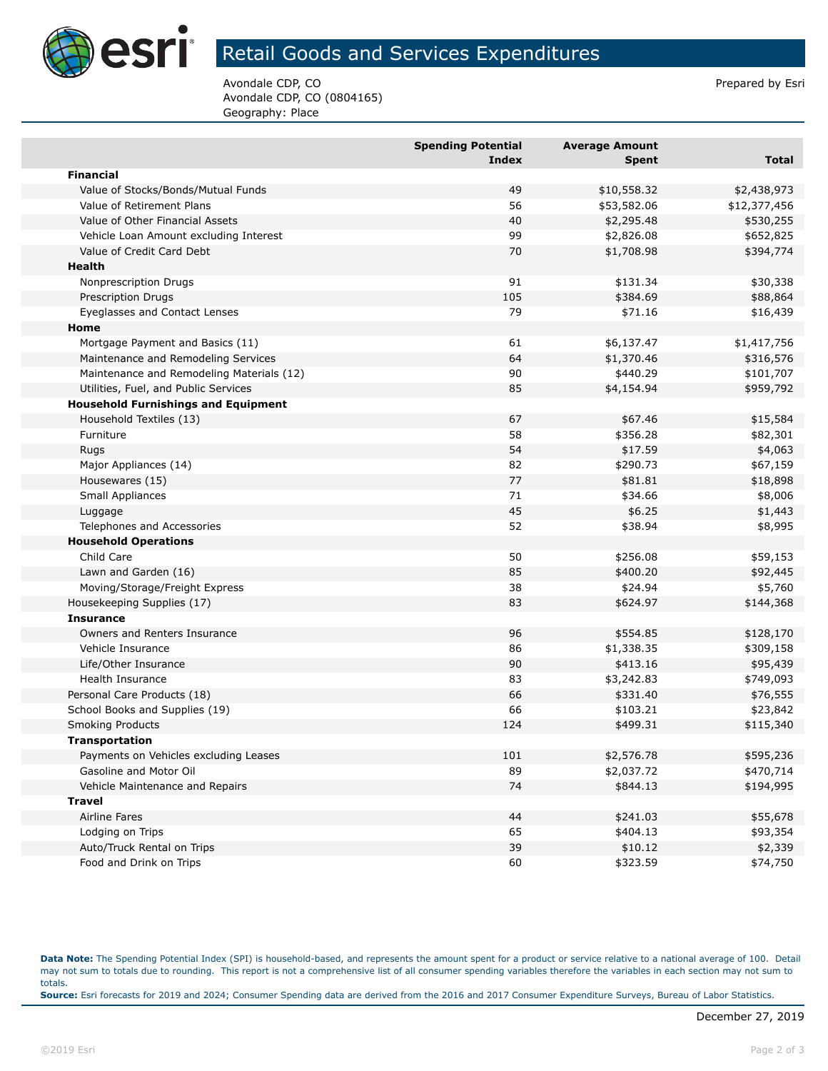

## Retail Goods and Services Expenditures

Avondale CDP, CO **Prepared by Esri** Prepared by Esri Avondale CDP, CO (0804165) Geography: Place

|                                            | <b>Spending Potential</b><br>Index | <b>Average Amount</b> | <b>Total</b>         |
|--------------------------------------------|------------------------------------|-----------------------|----------------------|
| <b>Financial</b>                           |                                    | <b>Spent</b>          |                      |
| Value of Stocks/Bonds/Mutual Funds         | 49                                 | \$10,558.32           | \$2,438,973          |
| Value of Retirement Plans                  | 56                                 | \$53,582.06           | \$12,377,456         |
| Value of Other Financial Assets            | 40                                 | \$2,295.48            | \$530,255            |
| Vehicle Loan Amount excluding Interest     | 99                                 | \$2,826.08            | \$652,825            |
| Value of Credit Card Debt                  | 70                                 | \$1,708.98            | \$394,774            |
| <b>Health</b>                              |                                    |                       |                      |
| Nonprescription Drugs                      | 91                                 | \$131.34              | \$30,338             |
| Prescription Drugs                         | 105                                | \$384.69              | \$88,864             |
| Eyeglasses and Contact Lenses              | 79                                 | \$71.16               | \$16,439             |
| Home                                       |                                    |                       |                      |
| Mortgage Payment and Basics (11)           | 61                                 | \$6,137.47            | \$1,417,756          |
| Maintenance and Remodeling Services        | 64                                 | \$1,370.46            | \$316,576            |
| Maintenance and Remodeling Materials (12)  | 90                                 | \$440.29              | \$101,707            |
| Utilities, Fuel, and Public Services       | 85                                 | \$4,154.94            | \$959,792            |
| <b>Household Furnishings and Equipment</b> |                                    |                       |                      |
| Household Textiles (13)                    | 67                                 |                       |                      |
| Furniture                                  | 58                                 | \$67.46<br>\$356.28   | \$15,584<br>\$82,301 |
|                                            | 54                                 |                       |                      |
| Rugs                                       | 82                                 | \$17.59               | \$4,063              |
| Major Appliances (14)                      | 77                                 | \$290.73              | \$67,159             |
| Housewares (15)                            |                                    | \$81.81               | \$18,898             |
| Small Appliances                           | 71                                 | \$34.66               | \$8,006              |
| Luggage                                    | 45                                 | \$6.25                | \$1,443              |
| Telephones and Accessories                 | 52                                 | \$38.94               | \$8,995              |
| <b>Household Operations</b>                |                                    |                       |                      |
| Child Care                                 | 50                                 | \$256.08              | \$59,153             |
| Lawn and Garden (16)                       | 85                                 | \$400.20              | \$92,445             |
| Moving/Storage/Freight Express             | 38                                 | \$24.94               | \$5,760              |
| Housekeeping Supplies (17)                 | 83                                 | \$624.97              | \$144,368            |
| <b>Insurance</b>                           |                                    |                       |                      |
| Owners and Renters Insurance               | 96                                 | \$554.85              | \$128,170            |
| Vehicle Insurance                          | 86                                 | \$1,338.35            | \$309,158            |
| Life/Other Insurance                       | 90                                 | \$413.16              | \$95,439             |
| Health Insurance                           | 83                                 | \$3,242.83            | \$749,093            |
| Personal Care Products (18)                | 66                                 | \$331.40              | \$76,555             |
| School Books and Supplies (19)             | 66                                 | \$103.21              | \$23,842             |
| <b>Smoking Products</b>                    | 124                                | \$499.31              | \$115,340            |
| Transportation                             |                                    |                       |                      |
| Payments on Vehicles excluding Leases      | 101                                | \$2,576.78            | \$595,236            |
| Gasoline and Motor Oil                     | 89                                 | \$2,037.72            | \$470,714            |
| Vehicle Maintenance and Repairs            | 74                                 | \$844.13              | \$194,995            |
| <b>Travel</b>                              |                                    |                       |                      |
| Airline Fares                              | 44                                 | \$241.03              | \$55,678             |
| Lodging on Trips                           | 65                                 | \$404.13              | \$93,354             |
| Auto/Truck Rental on Trips                 | 39                                 | \$10.12               | \$2,339              |
| Food and Drink on Trips                    | 60                                 | \$323.59              | \$74,750             |

**Data Note:** The Spending Potential Index (SPI) is household-based, and represents the amount spent for a product or service relative to a national average of 100. Detail may not sum to totals due to rounding. This report is not a comprehensive list of all consumer spending variables therefore the variables in each section may not sum to totals. **Source:** Esri forecasts for 2019 and 2024; Consumer Spending data are derived from the 2016 and 2017 Consumer Expenditure Surveys, Bureau of Labor Statistics.